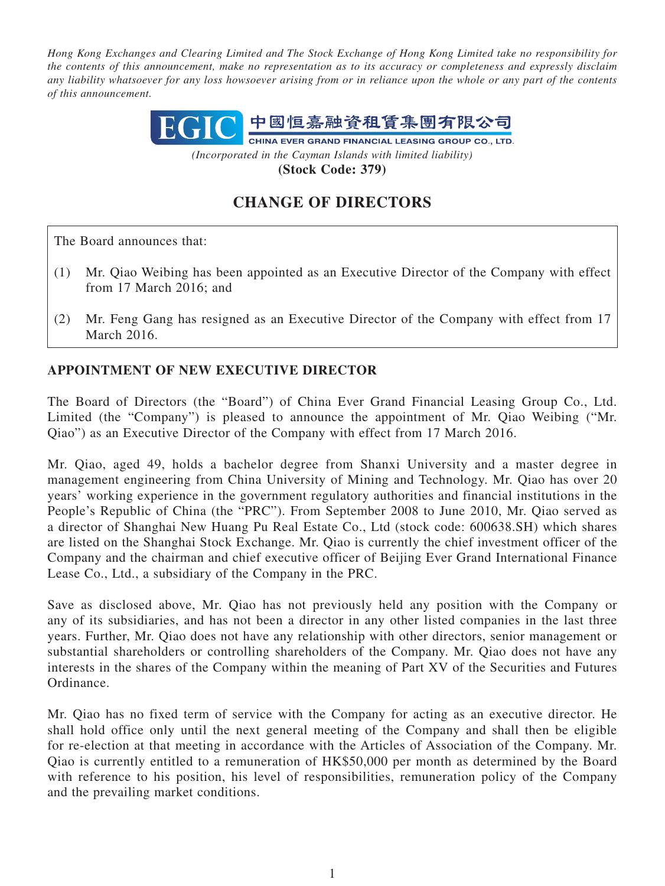*Hong Kong Exchanges and Clearing Limited and The Stock Exchange of Hong Kong Limited take no responsibility for the contents of this announcement, make no representation as to its accuracy or completeness and expressly disclaim any liability whatsoever for any loss howsoever arising from or in reliance upon the whole or any part of the contents of this announcement.*



**(Stock Code: 379)**

## **CHANGE OF DIRECTORS**

The Board announces that:

- (1) Mr. Qiao Weibing has been appointed as an Executive Director of the Company with effect from 17 March 2016; and
- (2) Mr. Feng Gang has resigned as an Executive Director of the Company with effect from 17 March 2016.

## **APPOINTMENT OF NEW EXECUTIVE DIRECTOR**

The Board of Directors (the "Board") of China Ever Grand Financial Leasing Group Co., Ltd. Limited (the "Company") is pleased to announce the appointment of Mr. Qiao Weibing ("Mr. Qiao") as an Executive Director of the Company with effect from 17 March 2016.

Mr. Qiao, aged 49, holds a bachelor degree from Shanxi University and a master degree in management engineering from China University of Mining and Technology. Mr. Qiao has over 20 years' working experience in the government regulatory authorities and financial institutions in the People's Republic of China (the "PRC"). From September 2008 to June 2010, Mr. Qiao served as a director of Shanghai New Huang Pu Real Estate Co., Ltd (stock code: 600638.SH) which shares are listed on the Shanghai Stock Exchange. Mr. Qiao is currently the chief investment officer of the Company and the chairman and chief executive officer of Beijing Ever Grand International Finance Lease Co., Ltd., a subsidiary of the Company in the PRC.

Save as disclosed above, Mr. Qiao has not previously held any position with the Company or any of its subsidiaries, and has not been a director in any other listed companies in the last three years. Further, Mr. Qiao does not have any relationship with other directors, senior management or substantial shareholders or controlling shareholders of the Company. Mr. Qiao does not have any interests in the shares of the Company within the meaning of Part XV of the Securities and Futures Ordinance.

Mr. Qiao has no fixed term of service with the Company for acting as an executive director. He shall hold office only until the next general meeting of the Company and shall then be eligible for re-election at that meeting in accordance with the Articles of Association of the Company. Mr. Qiao is currently entitled to a remuneration of HK\$50,000 per month as determined by the Board with reference to his position, his level of responsibilities, remuneration policy of the Company and the prevailing market conditions.